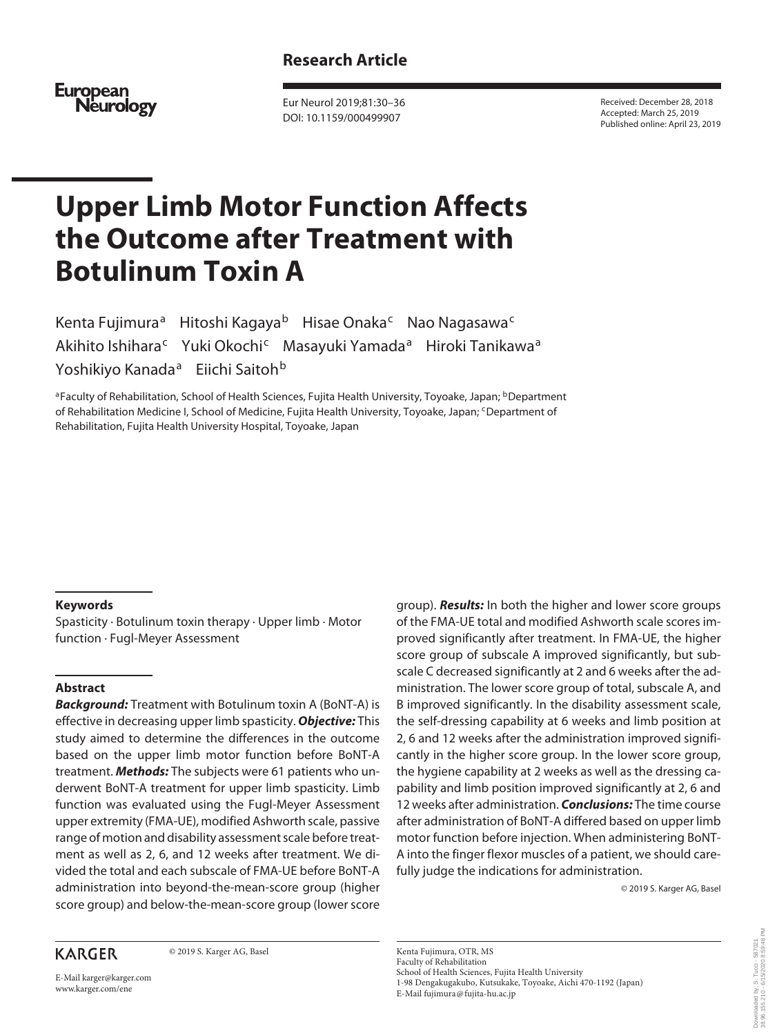# **Research Article**

European<br>Neurology

Eur Neurol 2019;81:30–36 DOI: 10.1159/000499907

Received: December 28, 2018 Accepted: March 25, 2019 Published online: April 23, 2019

# **Upper Limb Motor Function Affects the Outcome after Treatment with Botulinum Toxin A**

Kenta Fujimura<sup>a</sup> Hitoshi Kagaya<sup>b</sup> Hisae Onaka<sup>c</sup> Nao Nagasawa<sup>c</sup> Akihito Ishihara<sup>c</sup> Yuki Okochi<sup>c</sup> Masayuki Yamada<sup>a</sup> Hiroki Tanikawa<sup>a</sup> Yoshikiyo Kanada<sup>a</sup> Eiichi Saitoh<sup>b</sup>

aFaculty of Rehabilitation, School of Health Sciences, Fujita Health University, Toyoake, Japan; <sup>b</sup>Department of Rehabilitation Medicine I, School of Medicine, Fujita Health University, Toyoake, Japan; <sup>c</sup>Department of Rehabilitation, Fujita Health University Hospital, Toyoake, Japan

## **Keywords**

Spasticity · Botulinum toxin therapy · Upper limb · Motor function · Fugl-Meyer Assessment

## **Abstract**

*Background:* Treatment with Botulinum toxin A (BoNT-A) is effective in decreasing upper limb spasticity. *Objective:* This study aimed to determine the differences in the outcome based on the upper limb motor function before BoNT-A treatment. *Methods:* The subjects were 61 patients who underwent BoNT-A treatment for upper limb spasticity. Limb function was evaluated using the Fugl-Meyer Assessment upper extremity (FMA-UE), modified Ashworth scale, passive range of motion and disability assessment scale before treatment as well as 2, 6, and 12 weeks after treatment. We divided the total and each subscale of FMA-UE before BoNT-A administration into beyond-the-mean-score group (higher score group) and below-the-mean-score group (lower score

## **KARGER**

© 2019 S. Karger AG, Basel

E-Mail karger@karger.com www.karger.com/ene

group). *Results:* In both the higher and lower score groups of the FMA-UE total and modified Ashworth scale scores improved significantly after treatment. In FMA-UE, the higher score group of subscale A improved significantly, but subscale C decreased significantly at 2 and 6 weeks after the administration. The lower score group of total, subscale A, and B improved significantly. In the disability assessment scale, the self-dressing capability at 6 weeks and limb position at 2, 6 and 12 weeks after the administration improved significantly in the higher score group. In the lower score group, the hygiene capability at 2 weeks as well as the dressing capability and limb position improved significantly at 2, 6 and 12 weeks after administration. *Conclusions:* The time course after administration of BoNT-A differed based on upper limb motor function before injection. When administering BoNT-A into the finger flexor muscles of a patient, we should carefully judge the indications for administration.

© 2019 S. Karger AG, Basel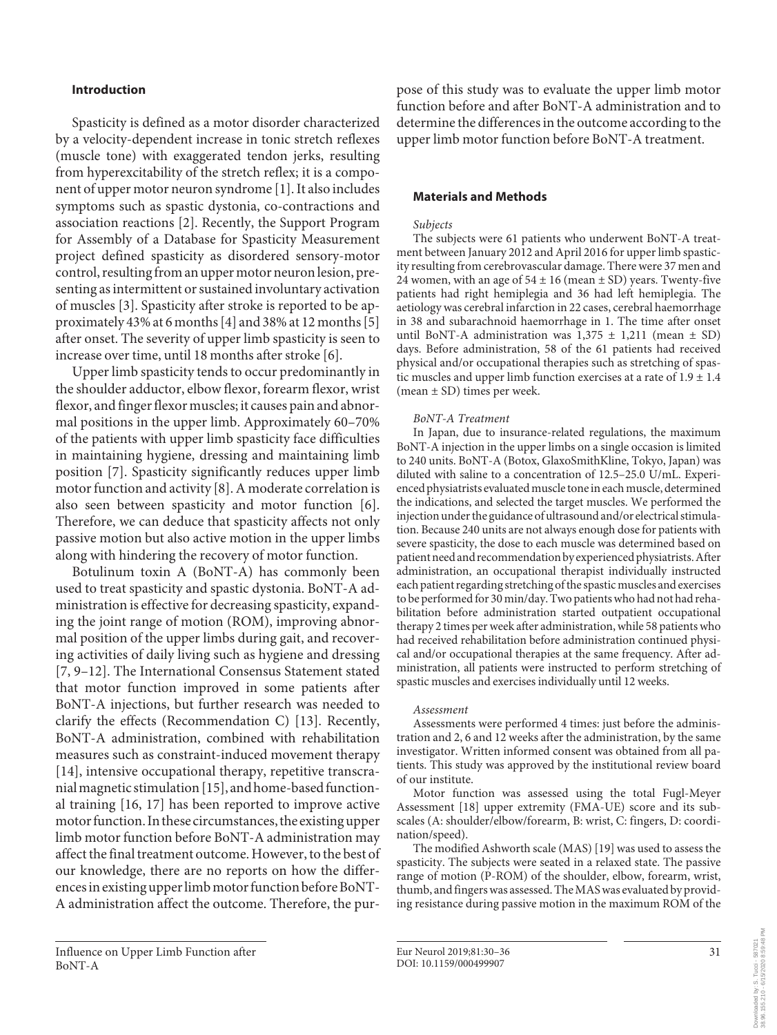## **Introduction**

Spasticity is defined as a motor disorder characterized by a velocity-dependent increase in tonic stretch reflexes (muscle tone) with exaggerated tendon jerks, resulting from hyperexcitability of the stretch reflex; it is a component of upper motor neuron syndrome [1]. It also includes symptoms such as spastic dystonia, co-contractions and association reactions [2]. Recently, the Support Program for Assembly of a Database for Spasticity Measurement project defined spasticity as disordered sensory-motor control, resulting from an upper motor neuron lesion, presenting as intermittent or sustained involuntary activation of muscles [3]. Spasticity after stroke is reported to be approximately 43% at 6 months [4] and 38% at 12 months [5] after onset. The severity of upper limb spasticity is seen to increase over time, until 18 months after stroke [6].

Upper limb spasticity tends to occur predominantly in the shoulder adductor, elbow flexor, forearm flexor, wrist flexor, and finger flexor muscles; it causes pain and abnormal positions in the upper limb. Approximately 60–70% of the patients with upper limb spasticity face difficulties in maintaining hygiene, dressing and maintaining limb position [7]. Spasticity significantly reduces upper limb motor function and activity [8]. A moderate correlation is also seen between spasticity and motor function [6]. Therefore, we can deduce that spasticity affects not only passive motion but also active motion in the upper limbs along with hindering the recovery of motor function.

Botulinum toxin A (BoNT-A) has commonly been used to treat spasticity and spastic dystonia. BoNT-A administration is effective for decreasing spasticity, expanding the joint range of motion (ROM), improving abnormal position of the upper limbs during gait, and recovering activities of daily living such as hygiene and dressing [7, 9–12]. The International Consensus Statement stated that motor function improved in some patients after BoNT-A injections, but further research was needed to clarify the effects (Recommendation C) [13]. Recently, BoNT-A administration, combined with rehabilitation measures such as constraint-induced movement therapy [14], intensive occupational therapy, repetitive transcranial magnetic stimulation [15], and home-based functional training [16, 17] has been reported to improve active motor function. In these circumstances, the existing upper limb motor function before BoNT-A administration may affect the final treatment outcome. However, to the best of our knowledge, there are no reports on how the differences in existing upper limb motor function before BoNT-A administration affect the outcome. Therefore, the purpose of this study was to evaluate the upper limb motor function before and after BoNT-A administration and to determine the differences in the outcome according to the upper limb motor function before BoNT-A treatment.

## **Materials and Methods**

#### *Subjects*

The subjects were 61 patients who underwent BoNT-A treatment between January 2012 and April 2016 for upper limb spasticity resulting from cerebrovascular damage. There were 37 men and 24 women, with an age of  $54 \pm 16$  (mean  $\pm$  SD) years. Twenty-five patients had right hemiplegia and 36 had left hemiplegia. The aetiology was cerebral infarction in 22 cases, cerebral haemorrhage in 38 and subarachnoid haemorrhage in 1. The time after onset until BoNT-A administration was  $1,375 \pm 1,211$  (mean  $\pm$  SD) days. Before administration, 58 of the 61 patients had received physical and/or occupational therapies such as stretching of spastic muscles and upper limb function exercises at a rate of  $1.9 \pm 1.4$ (mean ± SD) times per week.

#### *BoNT-A Treatment*

In Japan, due to insurance-related regulations, the maximum BoNT-A injection in the upper limbs on a single occasion is limited to 240 units. BoNT-A (Botox, GlaxoSmithKline, Tokyo, Japan) was diluted with saline to a concentration of 12.5–25.0 U/mL. Experienced physiatrists evaluated muscle tone in each muscle, determined the indications, and selected the target muscles. We performed the injection under the guidance of ultrasound and/or electrical stimulation. Because 240 units are not always enough dose for patients with severe spasticity, the dose to each muscle was determined based on patient need and recommendation by experienced physiatrists. After administration, an occupational therapist individually instructed each patient regarding stretching of the spastic muscles and exercises to be performed for 30 min/day. Two patients who had not had rehabilitation before administration started outpatient occupational therapy 2 times per week after administration, while 58 patients who had received rehabilitation before administration continued physical and/or occupational therapies at the same frequency. After administration, all patients were instructed to perform stretching of spastic muscles and exercises individually until 12 weeks.

#### *Assessment*

Assessments were performed 4 times: just before the administration and 2, 6 and 12 weeks after the administration, by the same investigator. Written informed consent was obtained from all patients. This study was approved by the institutional review board of our institute.

Motor function was assessed using the total Fugl-Meyer Assessment [18] upper extremity (FMA-UE) score and its subscales (A: shoulder/elbow/forearm, B: wrist, C: fingers, D: coordination/speed).

The modified Ashworth scale (MAS) [19] was used to assess the spasticity. The subjects were seated in a relaxed state. The passive range of motion (P-ROM) of the shoulder, elbow, forearm, wrist, thumb, and fingers was assessed. The MAS was evaluated by providing resistance during passive motion in the maximum ROM of the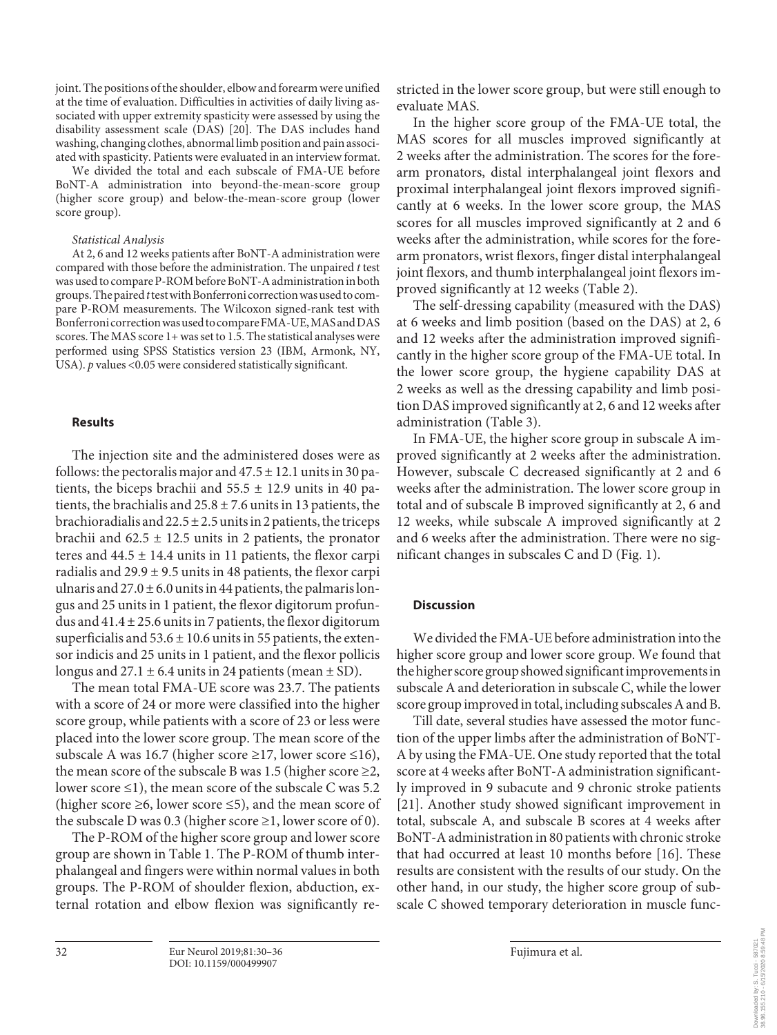joint. The positions of the shoulder, elbow and forearm were unified at the time of evaluation. Difficulties in activities of daily living associated with upper extremity spasticity were assessed by using the disability assessment scale (DAS) [20]. The DAS includes hand washing, changing clothes, abnormal limb position and pain associated with spasticity. Patients were evaluated in an interview format.

We divided the total and each subscale of FMA-UE before BoNT-A administration into beyond-the-mean-score group (higher score group) and below-the-mean-score group (lower score group).

#### *Statistical Analysis*

At 2, 6 and 12 weeks patients after BoNT-A administration were compared with those before the administration. The unpaired *t* test was used to compare P-ROM before BoNT-A administration in both groups. The paired *t* test with Bonferroni correction was used to compare P-ROM measurements. The Wilcoxon signed-rank test with Bonferroni correction was used to compare FMA-UE, MAS and DAS scores. The MAS score 1+ was set to 1.5. The statistical analyses were performed using SPSS Statistics version 23 (IBM, Armonk, NY, USA). *p* values <0.05 were considered statistically significant.

## **Results**

The injection site and the administered doses were as follows: the pectoralis major and  $47.5 \pm 12.1$  units in 30 patients, the biceps brachii and  $55.5 \pm 12.9$  units in 40 patients, the brachialis and  $25.8 \pm 7.6$  units in 13 patients, the brachioradialis and  $22.5 \pm 2.5$  units in 2 patients, the triceps brachii and  $62.5 \pm 12.5$  units in 2 patients, the pronator teres and  $44.5 \pm 14.4$  units in 11 patients, the flexor carpi radialis and  $29.9 \pm 9.5$  units in 48 patients, the flexor carpi ulnaris and  $27.0 \pm 6.0$  units in 44 patients, the palmaris longus and 25 units in 1 patient, the flexor digitorum profundus and 41.4 ± 25.6 units in 7 patients, the flexor digitorum superficialis and  $53.6 \pm 10.6$  units in 55 patients, the extensor indicis and 25 units in 1 patient, and the flexor pollicis longus and  $27.1 \pm 6.4$  units in 24 patients (mean  $\pm$  SD).

The mean total FMA-UE score was 23.7. The patients with a score of 24 or more were classified into the higher score group, while patients with a score of 23 or less were placed into the lower score group. The mean score of the subscale A was 16.7 (higher score ≥17, lower score ≤16), the mean score of the subscale B was 1.5 (higher score  $\geq$ 2, lower score ≤1), the mean score of the subscale C was 5.2 (higher score  $\geq 6$ , lower score  $\leq 5$ ), and the mean score of the subscale D was 0.3 (higher score  $\geq$ 1, lower score of 0).

The P-ROM of the higher score group and lower score group are shown in Table 1. The P-ROM of thumb interphalangeal and fingers were within normal values in both groups. The P-ROM of shoulder flexion, abduction, external rotation and elbow flexion was significantly restricted in the lower score group, but were still enough to evaluate MAS.

In the higher score group of the FMA-UE total, the MAS scores for all muscles improved significantly at 2 weeks after the administration. The scores for the forearm pronators, distal interphalangeal joint flexors and proximal interphalangeal joint flexors improved significantly at 6 weeks. In the lower score group, the MAS scores for all muscles improved significantly at 2 and 6 weeks after the administration, while scores for the forearm pronators, wrist flexors, finger distal interphalangeal joint flexors, and thumb interphalangeal joint flexors improved significantly at 12 weeks (Table 2).

The self-dressing capability (measured with the DAS) at 6 weeks and limb position (based on the DAS) at 2, 6 and 12 weeks after the administration improved significantly in the higher score group of the FMA-UE total. In the lower score group, the hygiene capability DAS at 2 weeks as well as the dressing capability and limb position DAS improved significantly at 2, 6 and 12 weeks after administration (Table 3).

In FMA-UE, the higher score group in subscale A improved significantly at 2 weeks after the administration. However, subscale C decreased significantly at 2 and 6 weeks after the administration. The lower score group in total and of subscale B improved significantly at 2, 6 and 12 weeks, while subscale A improved significantly at 2 and 6 weeks after the administration. There were no significant changes in subscales C and D (Fig. 1).

## **Discussion**

We divided the FMA-UE before administration into the higher score group and lower score group. We found that the higher score group showed significant improvements in subscale A and deterioration in subscale C, while the lower score group improved in total, including subscales A and B.

Till date, several studies have assessed the motor function of the upper limbs after the administration of BoNT-A by using the FMA-UE. One study reported that the total score at 4 weeks after BoNT-A administration significantly improved in 9 subacute and 9 chronic stroke patients [21]. Another study showed significant improvement in total, subscale A, and subscale B scores at 4 weeks after BoNT-A administration in 80 patients with chronic stroke that had occurred at least 10 months before [16]. These results are consistent with the results of our study. On the other hand, in our study, the higher score group of subscale C showed temporary deterioration in muscle func-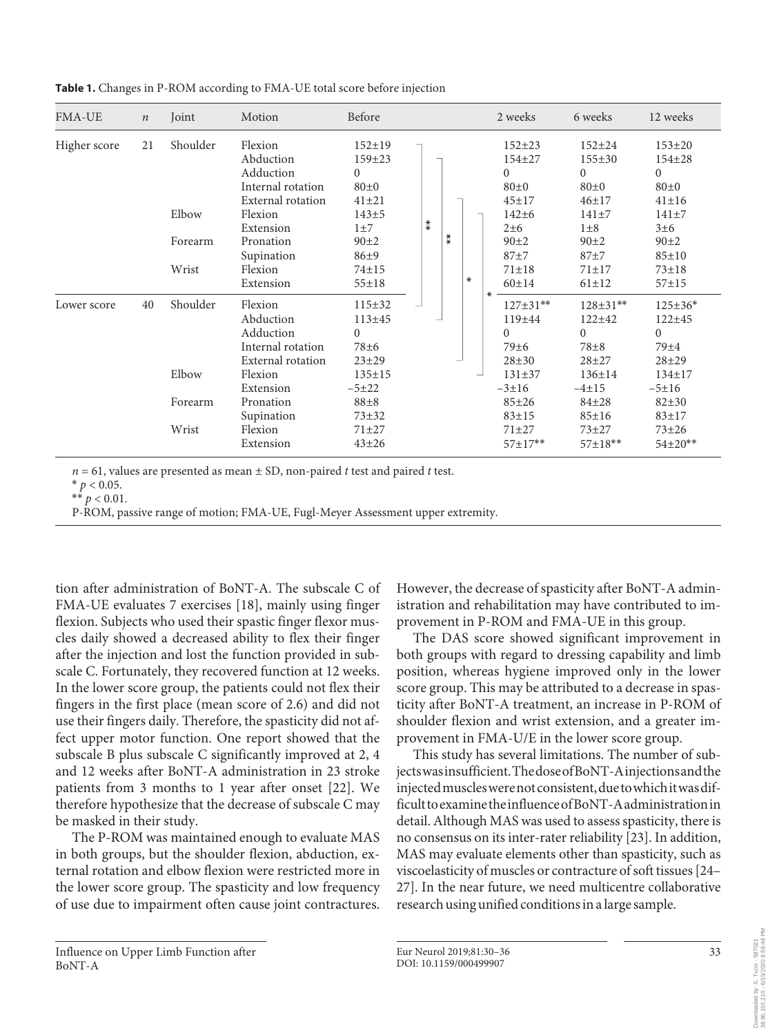| <b>FMA-UE</b> | $\boldsymbol{n}$ | Joint                                 | Motion                                                                                                                                    | Before                                                                                                                       |  |     |     |        | 2 weeks                                                                                                                       | 6 weeks                                                                                                                    | 12 weeks                                                                                                                       |
|---------------|------------------|---------------------------------------|-------------------------------------------------------------------------------------------------------------------------------------------|------------------------------------------------------------------------------------------------------------------------------|--|-----|-----|--------|-------------------------------------------------------------------------------------------------------------------------------|----------------------------------------------------------------------------------------------------------------------------|--------------------------------------------------------------------------------------------------------------------------------|
| Higher score  | 21               | Shoulder<br>Elbow<br>Forearm<br>Wrist | Flexion<br>Abduction<br>Adduction<br>Internal rotation<br>External rotation<br>Flexion<br>Extension<br>Pronation<br>Supination<br>Flexion | $152 \pm 19$<br>$159 + 23$<br>$\Omega$<br>$80\pm0$<br>$41 + 21$<br>$143 + 5$<br>$1\pm7$<br>$90\pm2$<br>$86 + 9$<br>$74 + 15$ |  | $*$ | $*$ | $\ast$ | $152 + 23$<br>$154 + 27$<br>$\Omega$<br>$80\pm0$<br>$45 + 17$<br>$142 + 6$<br>$2\pm 6$<br>$90\pm2$<br>$87 + 7$<br>$71 \pm 18$ | $152 \pm 24$<br>$155 \pm 30$<br>$\Omega$<br>$80\pm0$<br>$46 + 17$<br>$141 + 7$<br>$1\pm8$<br>$90+2$<br>$87+7$<br>$71 + 17$ | $153 \pm 20$<br>154±28<br>$\Omega$<br>$80\pm0$<br>$41 \pm 16$<br>$141\pm7$<br>$3\pm 6$<br>$90\pm2$<br>$85 + 10$<br>$73 \pm 18$ |
| Lower score   | 40               | Shoulder<br>Elbow                     | Extension<br>Flexion<br>Abduction<br>Adduction<br>Internal rotation<br>External rotation<br>Flexion<br>Extension                          | $55 \pm 18$<br>$115 \pm 32$<br>$113 + 45$<br>$\Omega$<br>$78\pm 6$<br>$23 + 29$<br>$135 \pm 15$<br>$-5+22$                   |  |     |     |        | $60 \pm 14$<br>∗<br>$127 \pm 31**$<br>$119 + 44$<br>$\Omega$<br>79±6<br>$28 + 30$<br>$131 \pm 37$<br>$-3+16$                  | $61 \pm 12$<br>$128 \pm 31**$<br>$122 + 42$<br>$\Omega$<br>$78 + 8$<br>$28 + 27$<br>$136 \pm 14$<br>$-4+15$                | $57 + 15$<br>$125 \pm 36*$<br>$122 + 45$<br>$\Omega$<br>$79\pm4$<br>$28 + 29$<br>$134 \pm 17$<br>$-5 \pm 16$                   |
|               |                  | Forearm<br>Wrist                      | Pronation<br>Supination<br>Flexion<br>Extension                                                                                           | $88 + 8$<br>$73 + 32$<br>$71 + 27$<br>$43 + 26$                                                                              |  |     |     |        | $85 + 26$<br>$83 + 15$<br>$71 + 27$<br>$57 \pm 17**$                                                                          | $84 + 28$<br>$85 \pm 16$<br>$73 + 27$<br>$57 \pm 18**$                                                                     | $82 + 30$<br>$83 + 17$<br>$73 + 26$<br>$54{\pm}20**$                                                                           |

**Table 1.** Changes in P-ROM according to FMA-UE total score before injection

 $n = 61$ , values are presented as mean  $\pm$  SD, non-paired *t* test and paired *t* test.

 $*$   $p < 0.05$ .

P-ROM, passive range of motion; FMA-UE, Fugl-Meyer Assessment upper extremity.

tion after administration of BoNT-A. The subscale C of FMA-UE evaluates 7 exercises [18], mainly using finger flexion. Subjects who used their spastic finger flexor muscles daily showed a decreased ability to flex their finger after the injection and lost the function provided in subscale C. Fortunately, they recovered function at 12 weeks. In the lower score group, the patients could not flex their fingers in the first place (mean score of 2.6) and did not use their fingers daily. Therefore, the spasticity did not affect upper motor function. One report showed that the subscale B plus subscale C significantly improved at 2, 4 and 12 weeks after BoNT-A administration in 23 stroke patients from 3 months to 1 year after onset [22]. We therefore hypothesize that the decrease of subscale C may be masked in their study.

The P-ROM was maintained enough to evaluate MAS in both groups, but the shoulder flexion, abduction, external rotation and elbow flexion were restricted more in the lower score group. The spasticity and low frequency of use due to impairment often cause joint contractures.

Influence on Upper Limb Function after BoNT-A

However, the decrease of spasticity after BoNT-A administration and rehabilitation may have contributed to improvement in P-ROM and FMA-UE in this group.

The DAS score showed significant improvement in both groups with regard to dressing capability and limb position, whereas hygiene improved only in the lower score group. This may be attributed to a decrease in spasticity after BoNT-A treatment, an increase in P-ROM of shoulder flexion and wrist extension, and a greater improvement in FMA-U/E in the lower score group.

This study has several limitations. The number of subjects was insufficient. The dose of BoNT-A injections and the injected muscles were not consistent, due to which it was difficult to examine the influence of BoNT-A administration in detail. Although MAS was used to assess spasticity, there is no consensus on its inter-rater reliability [23]. In addition, MAS may evaluate elements other than spasticity, such as viscoelasticity of muscles or contracture of soft tissues [24– 27]. In the near future, we need multicentre collaborative research using unified conditions in a large sample.

38.96.155.210 - 6/15/2020 8:59:48 PM00 00010aded by: S. Tucci - 587021<br>38.96.155.210 - 6/15/2020 8:59:48 Downloaded by: S. Tucci - 587021

 $**$   $p < 0.01$ .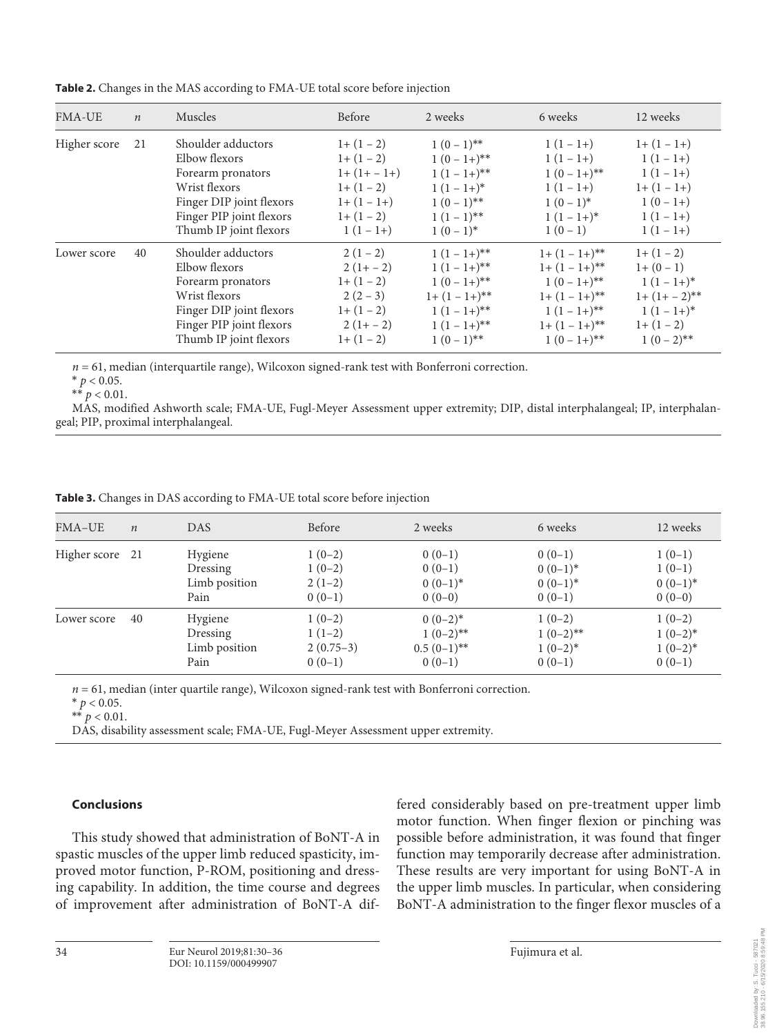| <b>FMA-UE</b> | $\boldsymbol{n}$ | Muscles                                                                                                                                                     | Before                                                                                     | 2 weeks                                                                                                      | 6 weeks                                                                                                         | 12 weeks                                                                                              |
|---------------|------------------|-------------------------------------------------------------------------------------------------------------------------------------------------------------|--------------------------------------------------------------------------------------------|--------------------------------------------------------------------------------------------------------------|-----------------------------------------------------------------------------------------------------------------|-------------------------------------------------------------------------------------------------------|
| Higher score  | 21               | Shoulder adductors<br>Elbow flexors<br>Forearm pronators<br>Wrist flexors<br>Finger DIP joint flexors<br>Finger PIP joint flexors<br>Thumb IP joint flexors | $1+(1-2)$<br>$1+(1-2)$<br>$1+(1+-1+)$<br>$1+(1-2)$<br>$1+(1-1+)$<br>$1+(1-2)$<br>$1(1-1+)$ | $1(0-1)$ **<br>$1(0-1+)**$<br>$1(1-1+)**$<br>$1(1-1+)^*$<br>$1(0-1)$ **<br>$1(1-1)$ **<br>$1(0-1)^*$         | $1(1-1+)$<br>$1(1-1+)$<br>$1(0-1+)**$<br>$1(1-1+)$<br>$1(0-1)^{*}$<br>$1(1-1+)^{*}$<br>$1(0-1)$                 | $1+(1-1+)$<br>$1(1-1+)$<br>$1(1-1+)$<br>$1+(1-1+)$<br>$1(0-1+)$<br>$1(1-1+)$<br>$1(1-1+)$             |
| Lower score   | 40               | Shoulder adductors<br>Elbow flexors<br>Forearm pronators<br>Wrist flexors<br>Finger DIP joint flexors<br>Finger PIP joint flexors<br>Thumb IP joint flexors | $2(1-2)$<br>$2(1+-2)$<br>$1+(1-2)$<br>$2(2-3)$<br>$1+(1-2)$<br>$2(1+-2)$<br>$1+(1-2)$      | $1(1-1+)^{**}$<br>$1(1-1+)**$<br>$1(0-1+)**$<br>$1+(1-1+)^{**}$<br>$1(1-1+)**$<br>$1(1-1+)**$<br>$1(0-1)$ ** | $1+(1-1+)^{**}$<br>$1+(1-1+)**$<br>$1(0-1+)**$<br>$1+(1-1+)^{**}$<br>$1(1-1+)**$<br>$1+(1-1+)**$<br>$1(0-1+)**$ | $1+(1-2)$<br>$1+(0-1)$<br>$1(1-1+)^{*}$<br>$1+(1+-2)$ **<br>$1(1-1+)^{*}$<br>$1+(1-2)$<br>$1(0-2)$ ** |

**Table 2.** Changes in the MAS according to FMA-UE total score before injection

 $n = 61$ , median (interquartile range), Wilcoxon signed-rank test with Bonferroni correction.

 $*$   $p < 0.05$ .

 $**$   $p < 0.01$ .

MAS, modified Ashworth scale; FMA-UE, Fugl-Meyer Assessment upper extremity; DIP, distal interphalangeal; IP, interphalangeal; PIP, proximal interphalangeal.

**Table 3.** Changes in DAS according to FMA-UE total score before injection

| FMA-UE          | $\boldsymbol{n}$ | <b>DAS</b>    | Before      | 2 weeks               | 6 weeks               | 12 weeks              |
|-----------------|------------------|---------------|-------------|-----------------------|-----------------------|-----------------------|
| Higher score 21 |                  | Hygiene       | $1(0-2)$    | $0(0-1)$              | $0(0-1)$              | $1(0-1)$              |
|                 |                  | Dressing      | $1(0-2)$    | $0(0-1)$              | $0(0-1)$ <sup>*</sup> | $1(0-1)$              |
|                 |                  | Limb position | $2(1-2)$    | $0(0-1)$ <sup>*</sup> | $0(0-1)$ <sup>*</sup> | $0(0-1)$ <sup>*</sup> |
|                 |                  | Pain          | $0(0-1)$    | $0(0-0)$              | $0(0-1)$              | $0(0-0)$              |
| Lower score     | 40               | Hygiene       | $1(0-2)$    | $0(0-2)*$             | $1(0-2)$              | $1(0-2)$              |
|                 |                  | Dressing      | $1(1-2)$    | $1(0-2)$ **           | $1(0-2)$ **           | $1(0-2)*$             |
|                 |                  | Limb position | $2(0.75-3)$ | $0.5(0-1)$ **         | $1(0-2)$ *            | $1(0-2)*$             |
|                 |                  | Pain          | $0(0-1)$    | $0(0-1)$              | $0(0-1)$              | $0(0-1)$              |

*n* = 61, median (inter quartile range), Wilcoxon signed-rank test with Bonferroni correction.

 $*$   $p < 0.05$ .

\*\*  $p < 0.01$ .

DAS, disability assessment scale; FMA-UE, Fugl-Meyer Assessment upper extremity.

## **Conclusions**

This study showed that administration of BoNT-A in spastic muscles of the upper limb reduced spasticity, improved motor function, P-ROM, positioning and dressing capability. In addition, the time course and degrees of improvement after administration of BoNT-A differed considerably based on pre-treatment upper limb motor function. When finger flexion or pinching was possible before administration, it was found that finger function may temporarily decrease after administration. These results are very important for using BoNT-A in the upper limb muscles. In particular, when considering BoNT-A administration to the finger flexor muscles of a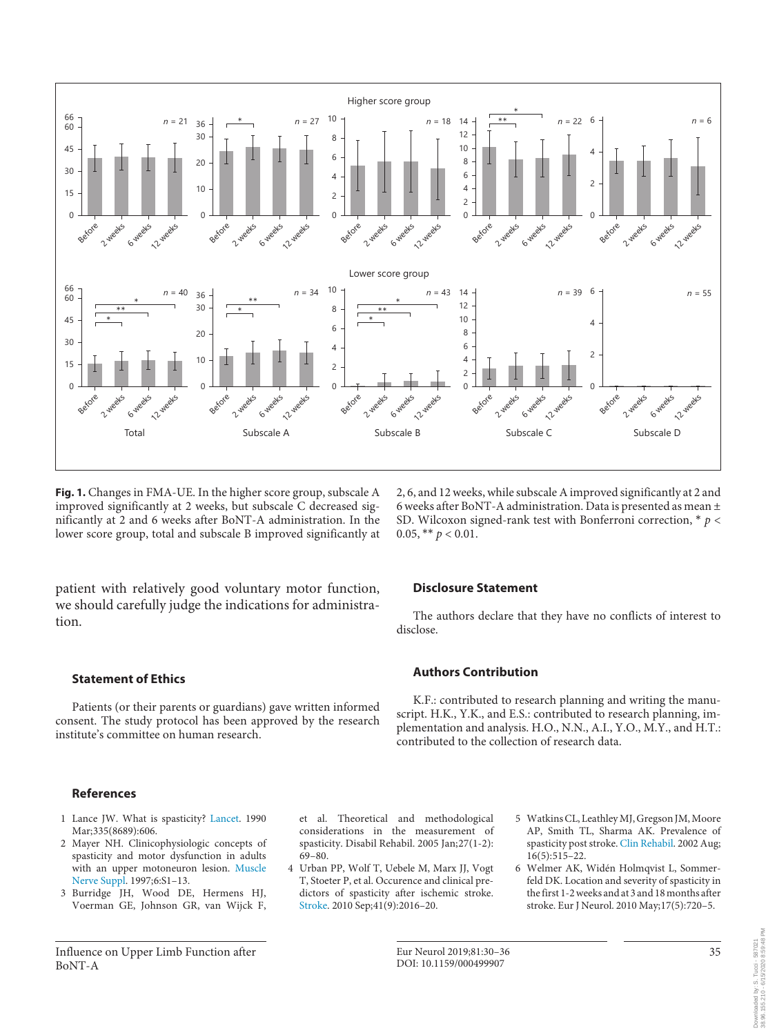

**Fig. 1.** Changes in FMA-UE. In the higher score group, subscale A improved significantly at 2 weeks, but subscale C decreased significantly at 2 and 6 weeks after BoNT-A administration. In the lower score group, total and subscale B improved significantly at

2, 6, and 12 weeks, while subscale A improved significantly at 2 and 6 weeks after BoNT-A administration. Data is presented as mean ± SD. Wilcoxon signed-rank test with Bonferroni correction, \* *p* < 0.05, \*\*  $p < 0.01$ .

patient with relatively good voluntary motor function, we should carefully judge the indications for administration.

## **Statement of Ethics**

Patients (or their parents or guardians) gave written informed consent. The study protocol has been approved by the research institute's committee on human research.

#### **References**

- 1 Lance JW. What is spasticity? Lancet. 1990 Mar;335(8689):606.
- 2 Mayer NH. Clinicophysiologic concepts of spasticity and motor dysfunction in adults with an upper motoneuron lesion. Muscle Nerve Suppl. 1997;6:S1–13.
- 3 Burridge JH, Wood DE, Hermens HJ, Voerman GE, Johnson GR, van Wijck F,

Influence on Upper Limb Function after BoNT-A

et al. Theoretical and methodological considerations in the measurement of spasticity. Disabil Rehabil. 2005 Jan;27(1-2): 69–80.

4 Urban PP, Wolf T, Uebele M, Marx JJ, Vogt T, Stoeter P, et al. Occurence and clinical predictors of spasticity after ischemic stroke. Stroke. 2010 Sep;41(9):2016–20.

## **Disclosure Statement**

The authors declare that they have no conflicts of interest to disclose.

## **Authors Contribution**

K.F.: contributed to research planning and writing the manuscript. H.K., Y.K., and E.S.: contributed to research planning, implementation and analysis. H.O., N.N., A.I., Y.O., M.Y., and H.T.: contributed to the collection of research data.

- 5 Watkins CL, Leathley MJ, Gregson JM, Moore AP, Smith TL, Sharma AK. Prevalence of spasticity post stroke. Clin Rehabil. 2002 Aug; 16(5):515–22.
- 6 Welmer AK, Widén Holmqvist L, Sommerfeld DK. Location and severity of spasticity in the first 1-2 weeks and at 3 and 18 months after stroke. Eur J Neurol. 2010 May;17(5):720–5.